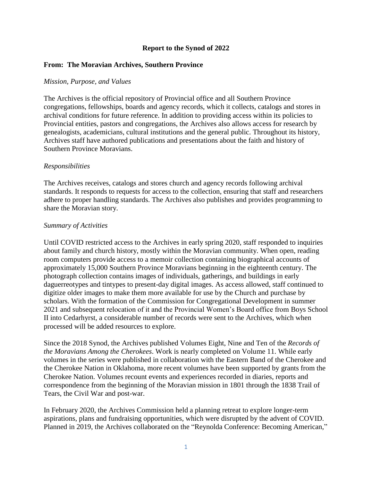# **Report to the Synod of 2022**

## **From: The Moravian Archives, Southern Province**

### *Mission, Purpose, and Values*

The Archives is the official repository of Provincial office and all Southern Province congregations, fellowships, boards and agency records, which it collects, catalogs and stores in archival conditions for future reference. In addition to providing access within its policies to Provincial entities, pastors and congregations, the Archives also allows access for research by genealogists, academicians, cultural institutions and the general public. Throughout its history, Archives staff have authored publications and presentations about the faith and history of Southern Province Moravians.

## *Responsibilities*

The Archives receives, catalogs and stores church and agency records following archival standards. It responds to requests for access to the collection, ensuring that staff and researchers adhere to proper handling standards. The Archives also publishes and provides programming to share the Moravian story.

### *Summary of Activities*

Until COVID restricted access to the Archives in early spring 2020, staff responded to inquiries about family and church history, mostly within the Moravian community. When open, reading room computers provide access to a memoir collection containing biographical accounts of approximately 15,000 Southern Province Moravians beginning in the eighteenth century. The photograph collection contains images of individuals, gatherings, and buildings in early daguerreotypes and tintypes to present-day digital images. As access allowed, staff continued to digitize older images to make them more available for use by the Church and purchase by scholars. With the formation of the Commission for Congregational Development in summer 2021 and subsequent relocation of it and the Provincial Women's Board office from Boys School II into Cedarhyrst, a considerable number of records were sent to the Archives, which when processed will be added resources to explore.

Since the 2018 Synod, the Archives published Volumes Eight, Nine and Ten of the *Records of the Moravians Among the Cherokees*. Work is nearly completed on Volume 11. While early volumes in the series were published in collaboration with the Eastern Band of the Cherokee and the Cherokee Nation in Oklahoma, more recent volumes have been supported by grants from the Cherokee Nation. Volumes recount events and experiences recorded in diaries, reports and correspondence from the beginning of the Moravian mission in 1801 through the 1838 Trail of Tears, the Civil War and post-war.

In February 2020, the Archives Commission held a planning retreat to explore longer-term aspirations, plans and fundraising opportunities, which were disrupted by the advent of COVID. Planned in 2019, the Archives collaborated on the "Reynolda Conference: Becoming American,"